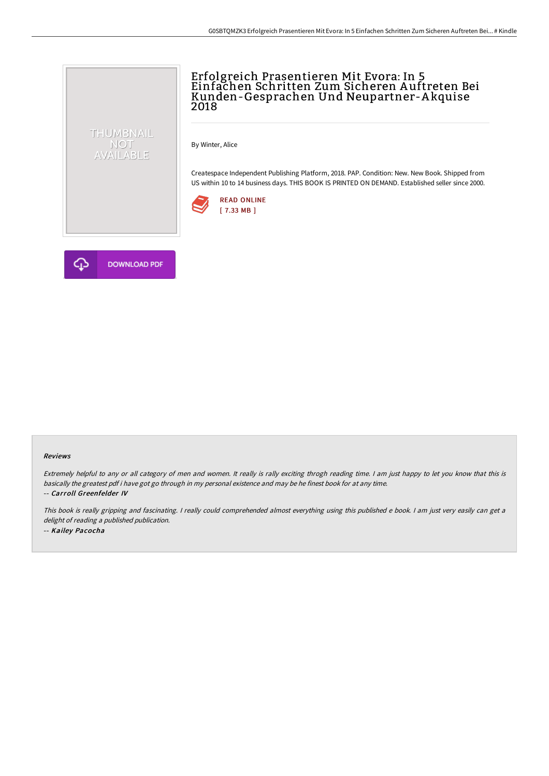## Erfolgreich Prasentieren Mit Evora: In 5 Einfachen Schritten Zum Sicheren A uftreten Bei Kunden-Gesprachen Und Neupartner-A kquise 2018

By Winter, Alice

Createspace Independent Publishing Platform, 2018. PAP. Condition: New. New Book. Shipped from US within 10 to 14 business days. THIS BOOK IS PRINTED ON DEMAND. Established seller since 2000.





THUMBNAIL NOT<br>AVAILABLE

## Reviews

Extremely helpful to any or all category of men and women. It really is rally exciting throgh reading time. <sup>I</sup> am just happy to let you know that this is basically the greatest pdf i have got go through in my personal existence and may be he finest book for at any time. -- Carroll Greenfelder IV

This book is really gripping and fascinating. <sup>I</sup> really could comprehended almost everything using this published <sup>e</sup> book. <sup>I</sup> am just very easily can get <sup>a</sup> delight of reading <sup>a</sup> published publication. -- Kailey Pacocha